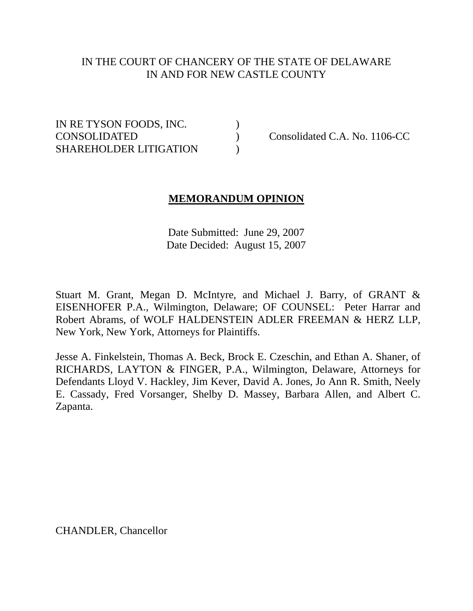## IN THE COURT OF CHANCERY OF THE STATE OF DELAWARE IN AND FOR NEW CASTLE COUNTY

IN RE TYSON FOODS, INC. CONSOLIDATED ) Consolidated C.A. No. 1106-CC SHAREHOLDER LITIGATION (1)

## **MEMORANDUM OPINION**

Date Submitted: June 29, 2007 Date Decided: August 15, 2007

Stuart M. Grant, Megan D. McIntyre, and Michael J. Barry, of GRANT & EISENHOFER P.A., Wilmington, Delaware; OF COUNSEL: Peter Harrar and Robert Abrams, of WOLF HALDENSTEIN ADLER FREEMAN & HERZ LLP, New York, New York, Attorneys for Plaintiffs.

Jesse A. Finkelstein, Thomas A. Beck, Brock E. Czeschin, and Ethan A. Shaner, of RICHARDS, LAYTON & FINGER, P.A., Wilmington, Delaware, Attorneys for Defendants Lloyd V. Hackley, Jim Kever, David A. Jones, Jo Ann R. Smith, Neely E. Cassady, Fred Vorsanger, Shelby D. Massey, Barbara Allen, and Albert C. Zapanta.

CHANDLER, Chancellor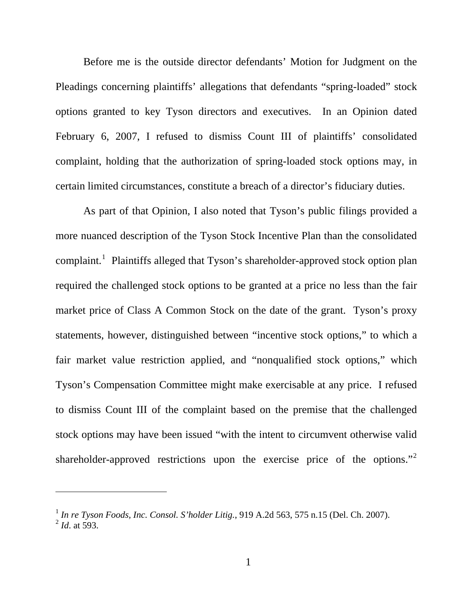Before me is the outside director defendants' Motion for Judgment on the Pleadings concerning plaintiffs' allegations that defendants "spring-loaded" stock options granted to key Tyson directors and executives. In an Opinion dated February 6, 2007, I refused to dismiss Count III of plaintiffs' consolidated complaint, holding that the authorization of spring-loaded stock options may, in certain limited circumstances, constitute a breach of a director's fiduciary duties.

As part of that Opinion, I also noted that Tyson's public filings provided a more nuanced description of the Tyson Stock Incentive Plan than the consolidated complaint.<sup>[1](#page-1-0)</sup> Plaintiffs alleged that Tyson's shareholder-approved stock option plan required the challenged stock options to be granted at a price no less than the fair market price of Class A Common Stock on the date of the grant. Tyson's proxy statements, however, distinguished between "incentive stock options," to which a fair market value restriction applied, and "nonqualified stock options," which Tyson's Compensation Committee might make exercisable at any price. I refused to dismiss Count III of the complaint based on the premise that the challenged stock options may have been issued "with the intent to circumvent otherwise valid shareholder-approved restrictions upon the exercise price of the options."<sup>[2](#page-1-1)</sup>

<span id="page-1-1"></span><span id="page-1-0"></span><sup>1</sup> *In re Tyson Foods, Inc. Consol. S'holder Litig.*, 919 A.2d 563, 575 n.15 (Del. Ch. 2007). <sup>2</sup> *Id*. at 593.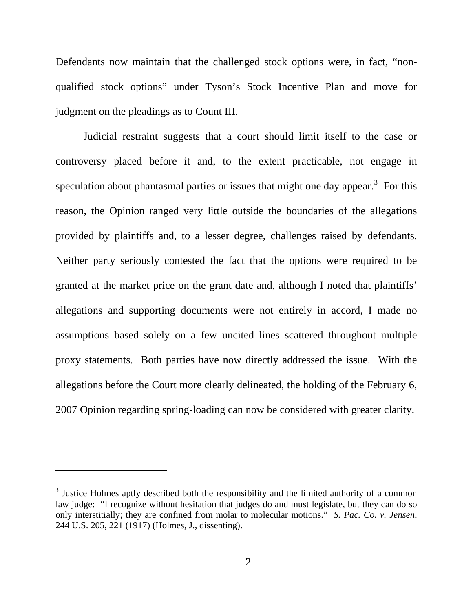Defendants now maintain that the challenged stock options were, in fact, "nonqualified stock options" under Tyson's Stock Incentive Plan and move for judgment on the pleadings as to Count III.

Judicial restraint suggests that a court should limit itself to the case or controversy placed before it and, to the extent practicable, not engage in speculation about phantasmal parties or issues that might one day appear.<sup>[3](#page-2-0)</sup> For this reason, the Opinion ranged very little outside the boundaries of the allegations provided by plaintiffs and, to a lesser degree, challenges raised by defendants. Neither party seriously contested the fact that the options were required to be granted at the market price on the grant date and, although I noted that plaintiffs' allegations and supporting documents were not entirely in accord, I made no assumptions based solely on a few uncited lines scattered throughout multiple proxy statements. Both parties have now directly addressed the issue. With the allegations before the Court more clearly delineated, the holding of the February 6, 2007 Opinion regarding spring-loading can now be considered with greater clarity.

<span id="page-2-0"></span><sup>&</sup>lt;sup>3</sup> Justice Holmes aptly described both the responsibility and the limited authority of a common law judge: "I recognize without hesitation that judges do and must legislate, but they can do so only interstitially; they are confined from molar to molecular motions." *S. Pac. Co. v. Jensen*, 244 U.S. 205, 221 (1917) (Holmes, J., dissenting).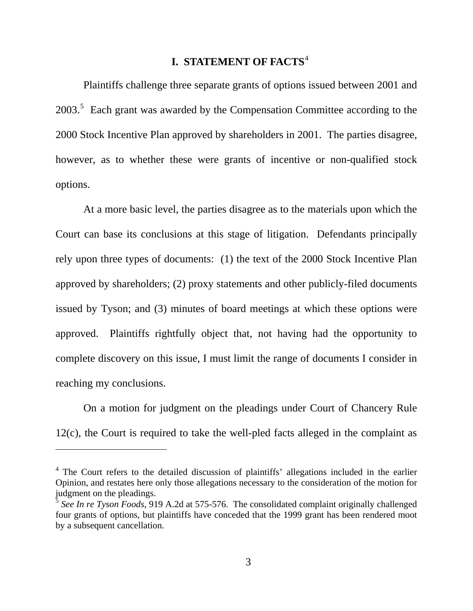## **I. STATEMENT OF FACTS**[4](#page-3-0)

Plaintiffs challenge three separate grants of options issued between 2001 and  $2003$ <sup>[5](#page-3-1)</sup> Each grant was awarded by the Compensation Committee according to the 2000 Stock Incentive Plan approved by shareholders in 2001. The parties disagree, however, as to whether these were grants of incentive or non-qualified stock options.

At a more basic level, the parties disagree as to the materials upon which the Court can base its conclusions at this stage of litigation. Defendants principally rely upon three types of documents: (1) the text of the 2000 Stock Incentive Plan approved by shareholders; (2) proxy statements and other publicly-filed documents issued by Tyson; and (3) minutes of board meetings at which these options were approved. Plaintiffs rightfully object that, not having had the opportunity to complete discovery on this issue, I must limit the range of documents I consider in reaching my conclusions.

On a motion for judgment on the pleadings under Court of Chancery Rule 12(c), the Court is required to take the well-pled facts alleged in the complaint as

<span id="page-3-0"></span><sup>&</sup>lt;sup>4</sup> The Court refers to the detailed discussion of plaintiffs' allegations included in the earlier Opinion, and restates here only those allegations necessary to the consideration of the motion for judgment on the pleadings.

<span id="page-3-1"></span><sup>&</sup>lt;sup>5</sup> See In re Tyson Foods, 919 A.2d at 575-576. The consolidated complaint originally challenged four grants of options, but plaintiffs have conceded that the 1999 grant has been rendered moot by a subsequent cancellation.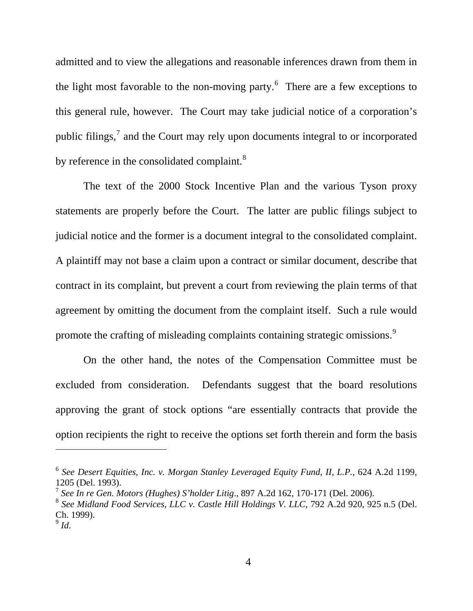admitted and to view the allegations and reasonable inferences drawn from them in the light most favorable to the non-moving party. $6$  There are a few exceptions to this general rule, however. The Court may take judicial notice of a corporation's public filings,<sup>[7](#page-4-1)</sup> and the Court may rely upon documents integral to or incorporated by reference in the consolidated complaint.<sup>[8](#page-4-2)</sup>

The text of the 2000 Stock Incentive Plan and the various Tyson proxy statements are properly before the Court. The latter are public filings subject to judicial notice and the former is a document integral to the consolidated complaint. A plaintiff may not base a claim upon a contract or similar document, describe that contract in its complaint, but prevent a court from reviewing the plain terms of that agreement by omitting the document from the complaint itself. Such a rule would promote the crafting of misleading complaints containing strategic omissions.<sup>[9](#page-4-3)</sup>

On the other hand, the notes of the Compensation Committee must be excluded from consideration. Defendants suggest that the board resolutions approving the grant of stock options "are essentially contracts that provide the option recipients the right to receive the options set forth therein and form the basis

<span id="page-4-0"></span><sup>6</sup> *See Desert Equities, Inc. v. Morgan Stanley Leveraged Equity Fund, II, L.P.*, 624 A.2d 1199, 1205 (Del. 1993).

<span id="page-4-1"></span><sup>7</sup> *See In re Gen. Motors (Hughes) S'holder Litig*., 897 A.2d 162, 170-171 (Del. 2006).

<span id="page-4-2"></span><sup>8</sup> *See Midland Food Services, LLC v. Castle Hill Holdings V. LLC*, 792 A.2d 920, 925 n.5 (Del. Ch. 1999).

<span id="page-4-3"></span> $9$  *Id.*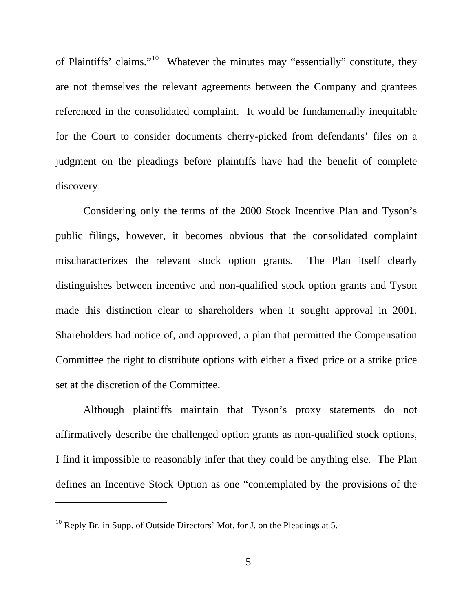of Plaintiffs' claims."[10](#page-5-0) Whatever the minutes may "essentially" constitute, they are not themselves the relevant agreements between the Company and grantees referenced in the consolidated complaint. It would be fundamentally inequitable for the Court to consider documents cherry-picked from defendants' files on a judgment on the pleadings before plaintiffs have had the benefit of complete discovery.

Considering only the terms of the 2000 Stock Incentive Plan and Tyson's public filings, however, it becomes obvious that the consolidated complaint mischaracterizes the relevant stock option grants. The Plan itself clearly distinguishes between incentive and non-qualified stock option grants and Tyson made this distinction clear to shareholders when it sought approval in 2001. Shareholders had notice of, and approved, a plan that permitted the Compensation Committee the right to distribute options with either a fixed price or a strike price set at the discretion of the Committee.

Although plaintiffs maintain that Tyson's proxy statements do not affirmatively describe the challenged option grants as non-qualified stock options, I find it impossible to reasonably infer that they could be anything else. The Plan defines an Incentive Stock Option as one "contemplated by the provisions of the

<span id="page-5-0"></span> $10$  Reply Br. in Supp. of Outside Directors' Mot. for J. on the Pleadings at 5.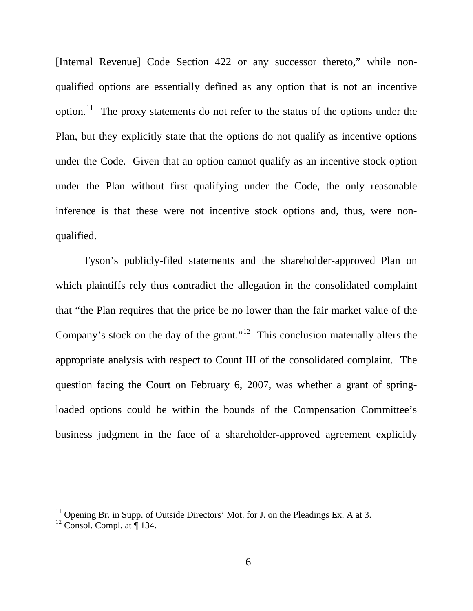[Internal Revenue] Code Section 422 or any successor thereto," while nonqualified options are essentially defined as any option that is not an incentive option.<sup>[11](#page-6-0)</sup> The proxy statements do not refer to the status of the options under the Plan, but they explicitly state that the options do not qualify as incentive options under the Code. Given that an option cannot qualify as an incentive stock option under the Plan without first qualifying under the Code, the only reasonable inference is that these were not incentive stock options and, thus, were nonqualified.

Tyson's publicly-filed statements and the shareholder-approved Plan on which plaintiffs rely thus contradict the allegation in the consolidated complaint that "the Plan requires that the price be no lower than the fair market value of the Company's stock on the day of the grant."<sup>[12](#page-6-1)</sup> This conclusion materially alters the appropriate analysis with respect to Count III of the consolidated complaint. The question facing the Court on February 6, 2007, was whether a grant of springloaded options could be within the bounds of the Compensation Committee's business judgment in the face of a shareholder-approved agreement explicitly

<span id="page-6-0"></span> $11$  Opening Br. in Supp. of Outside Directors' Mot. for J. on the Pleadings Ex. A at 3.

<span id="page-6-1"></span> $12$  Consol. Compl. at  $\P$  134.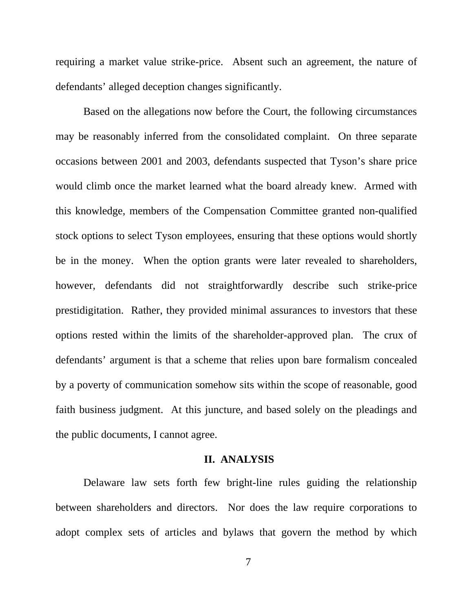requiring a market value strike-price. Absent such an agreement, the nature of defendants' alleged deception changes significantly.

Based on the allegations now before the Court, the following circumstances may be reasonably inferred from the consolidated complaint. On three separate occasions between 2001 and 2003, defendants suspected that Tyson's share price would climb once the market learned what the board already knew. Armed with this knowledge, members of the Compensation Committee granted non-qualified stock options to select Tyson employees, ensuring that these options would shortly be in the money. When the option grants were later revealed to shareholders, however, defendants did not straightforwardly describe such strike-price prestidigitation. Rather, they provided minimal assurances to investors that these options rested within the limits of the shareholder-approved plan. The crux of defendants' argument is that a scheme that relies upon bare formalism concealed by a poverty of communication somehow sits within the scope of reasonable, good faith business judgment. At this juncture, and based solely on the pleadings and the public documents, I cannot agree.

## **II. ANALYSIS**

Delaware law sets forth few bright-line rules guiding the relationship between shareholders and directors. Nor does the law require corporations to adopt complex sets of articles and bylaws that govern the method by which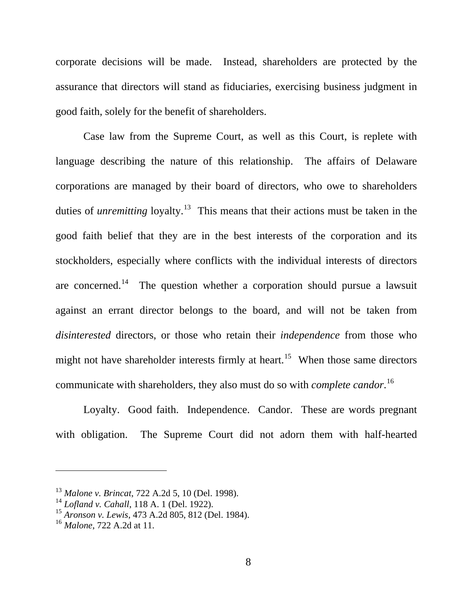corporate decisions will be made. Instead, shareholders are protected by the assurance that directors will stand as fiduciaries, exercising business judgment in good faith, solely for the benefit of shareholders.

Case law from the Supreme Court, as well as this Court, is replete with language describing the nature of this relationship. The affairs of Delaware corporations are managed by their board of directors, who owe to shareholders duties of *unremitting* loyalty.<sup>[13](#page-8-0)</sup> This means that their actions must be taken in the good faith belief that they are in the best interests of the corporation and its stockholders, especially where conflicts with the individual interests of directors are concerned.<sup>[14](#page-8-1)</sup> The question whether a corporation should pursue a lawsuit against an errant director belongs to the board, and will not be taken from *disinterested* directors, or those who retain their *independence* from those who might not have shareholder interests firmly at heart.<sup>[15](#page-8-2)</sup> When those same directors communicate with shareholders, they also must do so with *complete candor*. [16](#page-8-3)

Loyalty. Good faith. Independence. Candor. These are words pregnant with obligation. The Supreme Court did not adorn them with half-hearted

<span id="page-8-0"></span><sup>13</sup> *Malone v. Brincat*, 722 A.2d 5, 10 (Del. 1998).

<span id="page-8-1"></span><sup>14</sup> *Lofland v. Cahall*, 118 A. 1 (Del. 1922).

<span id="page-8-2"></span><sup>15</sup> *Aronson v. Lewis*, 473 A.2d 805, 812 (Del. 1984).

<span id="page-8-3"></span><sup>16</sup> *Malone*, 722 A.2d at 11.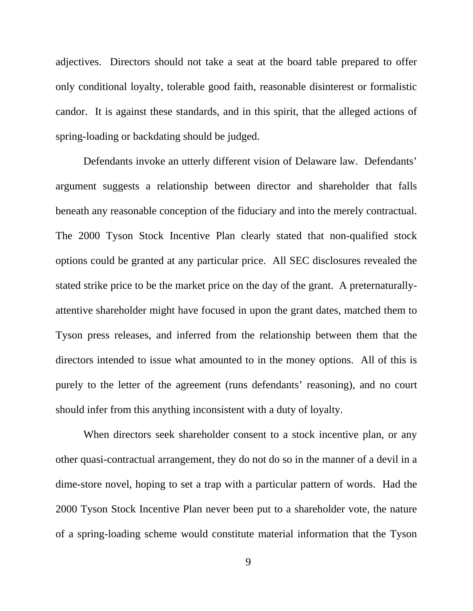adjectives. Directors should not take a seat at the board table prepared to offer only conditional loyalty, tolerable good faith, reasonable disinterest or formalistic candor. It is against these standards, and in this spirit, that the alleged actions of spring-loading or backdating should be judged.

Defendants invoke an utterly different vision of Delaware law. Defendants' argument suggests a relationship between director and shareholder that falls beneath any reasonable conception of the fiduciary and into the merely contractual. The 2000 Tyson Stock Incentive Plan clearly stated that non-qualified stock options could be granted at any particular price. All SEC disclosures revealed the stated strike price to be the market price on the day of the grant. A preternaturallyattentive shareholder might have focused in upon the grant dates, matched them to Tyson press releases, and inferred from the relationship between them that the directors intended to issue what amounted to in the money options. All of this is purely to the letter of the agreement (runs defendants' reasoning), and no court should infer from this anything inconsistent with a duty of loyalty.

When directors seek shareholder consent to a stock incentive plan, or any other quasi-contractual arrangement, they do not do so in the manner of a devil in a dime-store novel, hoping to set a trap with a particular pattern of words. Had the 2000 Tyson Stock Incentive Plan never been put to a shareholder vote, the nature of a spring-loading scheme would constitute material information that the Tyson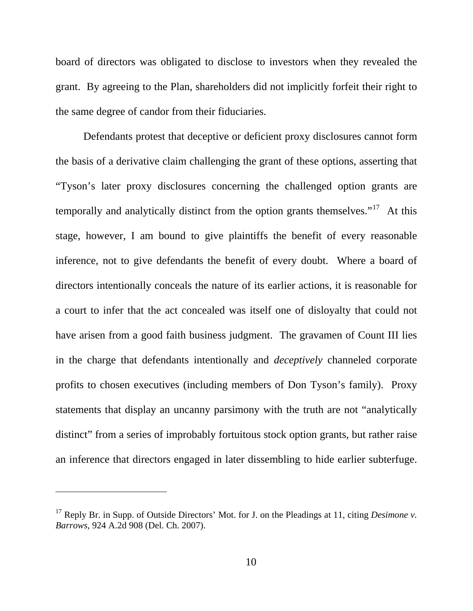board of directors was obligated to disclose to investors when they revealed the grant. By agreeing to the Plan, shareholders did not implicitly forfeit their right to the same degree of candor from their fiduciaries.

Defendants protest that deceptive or deficient proxy disclosures cannot form the basis of a derivative claim challenging the grant of these options, asserting that "Tyson's later proxy disclosures concerning the challenged option grants are temporally and analytically distinct from the option grants themselves."<sup>[17](#page-10-0)</sup> At this stage, however, I am bound to give plaintiffs the benefit of every reasonable inference, not to give defendants the benefit of every doubt. Where a board of directors intentionally conceals the nature of its earlier actions, it is reasonable for a court to infer that the act concealed was itself one of disloyalty that could not have arisen from a good faith business judgment. The gravamen of Count III lies in the charge that defendants intentionally and *deceptively* channeled corporate profits to chosen executives (including members of Don Tyson's family). Proxy statements that display an uncanny parsimony with the truth are not "analytically distinct" from a series of improbably fortuitous stock option grants, but rather raise an inference that directors engaged in later dissembling to hide earlier subterfuge.

<span id="page-10-0"></span><sup>17</sup> Reply Br. in Supp. of Outside Directors' Mot. for J. on the Pleadings at 11, citing *Desimone v. Barrows*, 924 A.2d 908 (Del. Ch. 2007).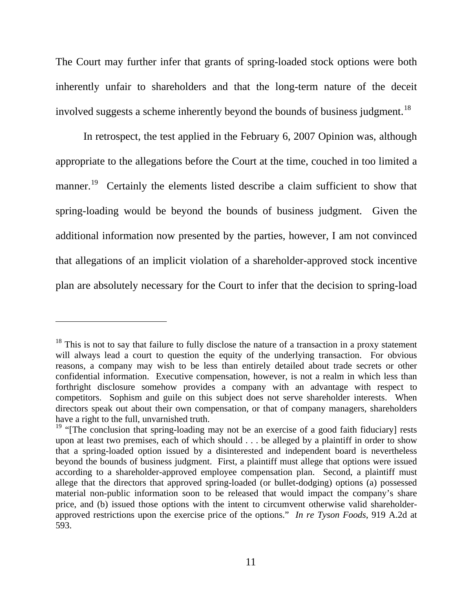The Court may further infer that grants of spring-loaded stock options were both inherently unfair to shareholders and that the long-term nature of the deceit involved suggests a scheme inherently beyond the bounds of business judgment.<sup>[18](#page-11-0)</sup>

In retrospect, the test applied in the February 6, 2007 Opinion was, although appropriate to the allegations before the Court at the time, couched in too limited a manner.<sup>[19](#page-11-1)</sup> Certainly the elements listed describe a claim sufficient to show that spring-loading would be beyond the bounds of business judgment. Given the additional information now presented by the parties, however, I am not convinced that allegations of an implicit violation of a shareholder-approved stock incentive plan are absolutely necessary for the Court to infer that the decision to spring-load

<span id="page-11-0"></span> $18$  This is not to say that failure to fully disclose the nature of a transaction in a proxy statement will always lead a court to question the equity of the underlying transaction. For obvious reasons, a company may wish to be less than entirely detailed about trade secrets or other confidential information. Executive compensation, however, is not a realm in which less than forthright disclosure somehow provides a company with an advantage with respect to competitors. Sophism and guile on this subject does not serve shareholder interests. When directors speak out about their own compensation, or that of company managers, shareholders have a right to the full, unvarnished truth.

<span id="page-11-1"></span><sup>&</sup>lt;sup>19</sup> "[The conclusion that spring-loading may not be an exercise of a good faith fiduciary] rests upon at least two premises, each of which should . . . be alleged by a plaintiff in order to show that a spring-loaded option issued by a disinterested and independent board is nevertheless beyond the bounds of business judgment. First, a plaintiff must allege that options were issued according to a shareholder-approved employee compensation plan. Second, a plaintiff must allege that the directors that approved spring-loaded (or bullet-dodging) options (a) possessed material non-public information soon to be released that would impact the company's share price, and (b) issued those options with the intent to circumvent otherwise valid shareholderapproved restrictions upon the exercise price of the options." *In re Tyson Foods*, 919 A.2d at 593.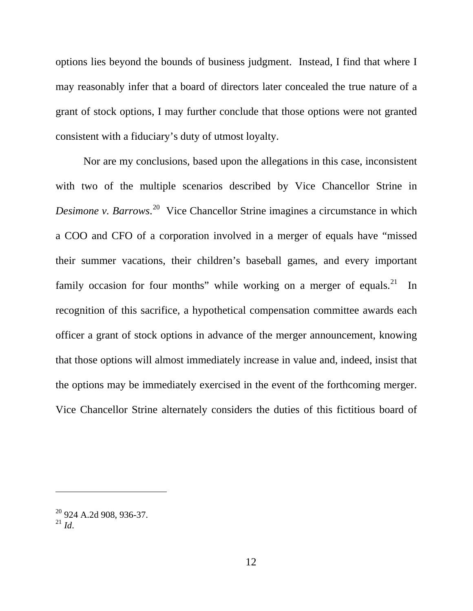options lies beyond the bounds of business judgment. Instead, I find that where I may reasonably infer that a board of directors later concealed the true nature of a grant of stock options, I may further conclude that those options were not granted consistent with a fiduciary's duty of utmost loyalty.

Nor are my conclusions, based upon the allegations in this case, inconsistent with two of the multiple scenarios described by Vice Chancellor Strine in *Desimone v. Barrows*. [20](#page-12-0) Vice Chancellor Strine imagines a circumstance in which a COO and CFO of a corporation involved in a merger of equals have "missed their summer vacations, their children's baseball games, and every important family occasion for four months" while working on a merger of equals.<sup>[21](#page-12-1)</sup> In recognition of this sacrifice, a hypothetical compensation committee awards each officer a grant of stock options in advance of the merger announcement, knowing that those options will almost immediately increase in value and, indeed, insist that the options may be immediately exercised in the event of the forthcoming merger. Vice Chancellor Strine alternately considers the duties of this fictitious board of

<span id="page-12-1"></span><span id="page-12-0"></span> $20$  924 A.2d 908, 936-37.  $^{21}$  *Id*.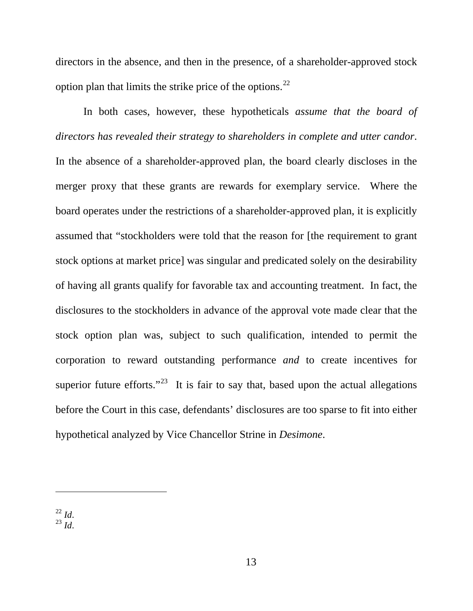directors in the absence, and then in the presence, of a shareholder-approved stock option plan that limits the strike price of the options. $^{22}$  $^{22}$  $^{22}$ 

 In both cases, however, these hypotheticals *assume that the board of directors has revealed their strategy to shareholders in complete and utter candor*. In the absence of a shareholder-approved plan, the board clearly discloses in the merger proxy that these grants are rewards for exemplary service. Where the board operates under the restrictions of a shareholder-approved plan, it is explicitly assumed that "stockholders were told that the reason for [the requirement to grant stock options at market price] was singular and predicated solely on the desirability of having all grants qualify for favorable tax and accounting treatment. In fact, the disclosures to the stockholders in advance of the approval vote made clear that the stock option plan was, subject to such qualification, intended to permit the corporation to reward outstanding performance *and* to create incentives for superior future efforts."<sup>[23](#page-13-1)</sup> It is fair to say that, based upon the actual allegations before the Court in this case, defendants' disclosures are too sparse to fit into either hypothetical analyzed by Vice Chancellor Strine in *Desimone*.

<span id="page-13-1"></span><span id="page-13-0"></span> $\frac{22}{23}$  *Id.* 23 *Id.*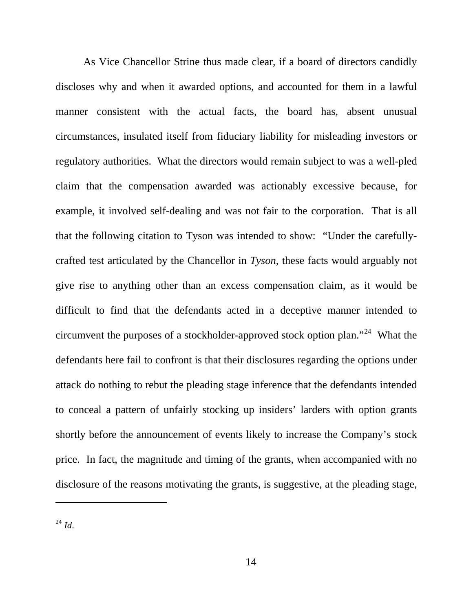As Vice Chancellor Strine thus made clear, if a board of directors candidly discloses why and when it awarded options, and accounted for them in a lawful manner consistent with the actual facts, the board has, absent unusual circumstances, insulated itself from fiduciary liability for misleading investors or regulatory authorities. What the directors would remain subject to was a well-pled claim that the compensation awarded was actionably excessive because, for example, it involved self-dealing and was not fair to the corporation. That is all that the following citation to Tyson was intended to show: "Under the carefullycrafted test articulated by the Chancellor in *Tyson*, these facts would arguably not give rise to anything other than an excess compensation claim, as it would be difficult to find that the defendants acted in a deceptive manner intended to circumvent the purposes of a stockholder-approved stock option plan."<sup>[24](#page-14-0)</sup> What the defendants here fail to confront is that their disclosures regarding the options under attack do nothing to rebut the pleading stage inference that the defendants intended to conceal a pattern of unfairly stocking up insiders' larders with option grants shortly before the announcement of events likely to increase the Company's stock price. In fact, the magnitude and timing of the grants, when accompanied with no disclosure of the reasons motivating the grants, is suggestive, at the pleading stage,

<span id="page-14-0"></span> $^{24}$  *Id*.